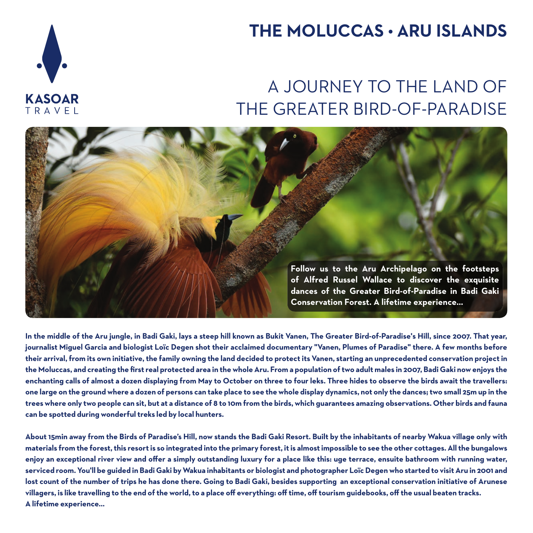# **KASOAR** TRAVEL

# **THE MOLUCCAS • ARU ISLANDS**

# A JOURNEY TO THE LAND OF THE GREATER BIRD-OF-PARADISE



**In the middle of the Aru jungle, in Badi Gaki, lays a steep hill known as Bukit Vanen, The Greater Bird-of-Paradise's Hill, since 2007. That year, journalist Miguel Garcia and biologist Loïc Degen shot their acclaimed documentary "Vanen, Plumes of Paradise" there. A few months before their arrival, from its own initiative, the family owning the land decided to protect its Vanen, starting an unprecedented conservation project in**  the Moluccas, and creating the first real protected area in the whole Aru. From a population of two adult males in 2007, Badi Gaki now enjoys the **enchanting calls of almost a dozen displaying from May to October on three to four leks. Three hides to observe the birds await the travellers: one large on the ground where a dozen of persons can take place to see the whole display dynamics, not only the dances; two small 25m up in the trees where only two people can sit, but at a distance of 8 to 10m from the birds, which guarantees amazing observations. Other birds and fauna can be spotted during wonderful treks led by local hunters.**

**About 15min away from the Birds of Paradise's Hill, now stands the Badi Gaki Resort. Built by the inhabitants of nearby Wakua village only with materials from the forest, this resort is so integrated into the primary forest, it is almost impossible to see the other cottages. All the bungalows**  enjoy an exceptional river view and offer a simply outstanding luxury for a place like this: uge terrace, ensuite bathroom with running water, **serviced room. You'll be guided in Badi Gaki by Wakua inhabitants or biologist and photographer Loïc Degen who started to visit Aru in 2001 and lost count of the number of trips he has done there. Going to Badi Gaki, besides supporting an exceptional conservation initiative of Arunese villagers, is like travelling to the end of the world, to a place off everything: off time, off tourism guidebooks, off the usual beaten tracks. A lifetime experience…**